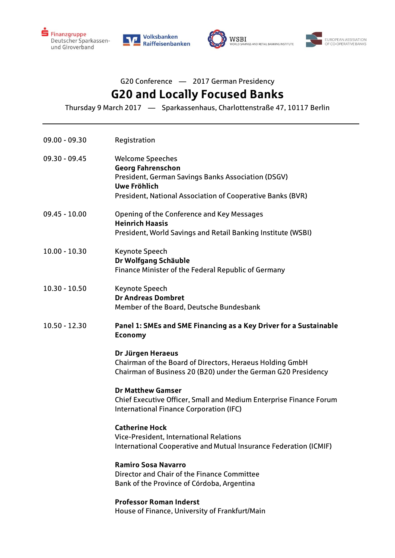







## G20 Conference — 2017 German Presidency **G20 and Locally Focused Banks**

Thursday 9 March 2017 — Sparkassenhaus, Charlottenstraße 47, 10117 Berlin

| 09.00 - 09.30 | Registration                                                                                                                                                                            |
|---------------|-----------------------------------------------------------------------------------------------------------------------------------------------------------------------------------------|
| 09.30 - 09.45 | <b>Welcome Speeches</b><br><b>Georg Fahrenschon</b><br>President, German Savings Banks Association (DSGV)<br>Uwe Fröhlich<br>President, National Association of Cooperative Banks (BVR) |
| 09.45 - 10.00 | Opening of the Conference and Key Messages<br><b>Heinrich Haasis</b><br>President, World Savings and Retail Banking Institute (WSBI)                                                    |
| 10.00 - 10.30 | Keynote Speech<br>Dr Wolfgang Schäuble<br>Finance Minister of the Federal Republic of Germany                                                                                           |
| 10.30 - 10.50 | <b>Keynote Speech</b><br><b>Dr Andreas Dombret</b><br>Member of the Board, Deutsche Bundesbank                                                                                          |
| 10.50 - 12.30 | Panel 1: SMEs and SME Financing as a Key Driver for a Sustainable<br><b>Economy</b>                                                                                                     |
|               | Dr Jürgen Heraeus<br>Chairman of the Board of Directors, Heraeus Holding GmbH<br>Chairman of Business 20 (B20) under the German G20 Presidency                                          |
|               | <b>Dr Matthew Gamser</b><br>Chief Executive Officer, Small and Medium Enterprise Finance Forum<br>International Finance Corporation (IFC)                                               |
|               | <b>Catherine Hock</b><br>Vice-President, International Relations<br>International Cooperative and Mutual Insurance Federation (ICMIF)                                                   |
|               | <b>Ramiro Sosa Navarro</b><br>Director and Chair of the Finance Committee<br>Bank of the Province of Córdoba, Argentina                                                                 |
|               | <b>Professor Roman Inderst</b><br>House of Finance, University of Frankfurt/Main                                                                                                        |